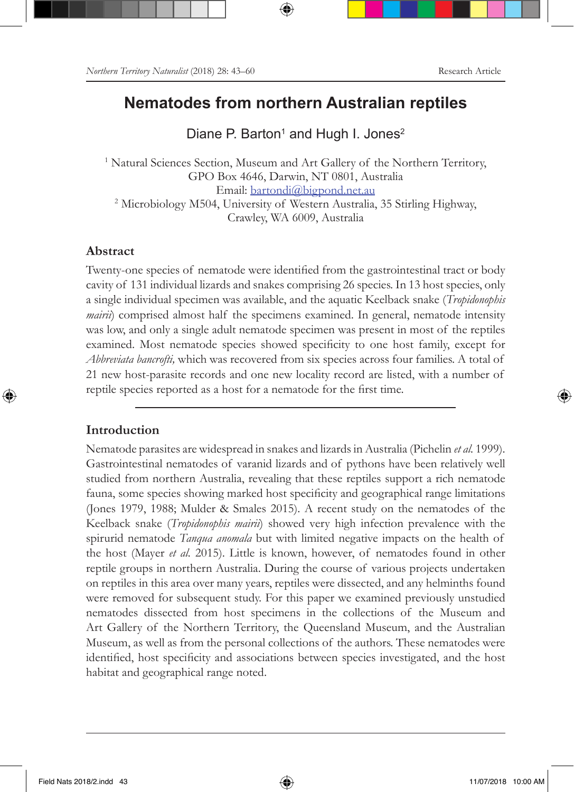## **Nematodes from northern Australian reptiles**

Diane P. Barton<sup>1</sup> and Hugh I. Jones<sup>2</sup>

<sup>1</sup> Natural Sciences Section, Museum and Art Gallery of the Northern Territory, GPO Box 4646, Darwin, NT 0801, Australia Email: bartondi@bigpond.net.au 2 Microbiology M504, University of Western Australia, 35 Stirling Highway, Crawley, WA 6009, Australia

#### **Abstract**

Twenty-one species of nematode were identified from the gastrointestinal tract or body cavity of 131 individual lizards and snakes comprising 26 species. In 13 host species, only a single individual specimen was available, and the aquatic Keelback snake (*Tropidonophis mairii*) comprised almost half the specimens examined. In general, nematode intensity was low, and only a single adult nematode specimen was present in most of the reptiles examined. Most nematode species showed specificity to one host family, except for *Abbreviata bancrofti,* which was recovered from six species across four families. A total of 21 new host-parasite records and one new locality record are listed, with a number of reptile species reported as a host for a nematode for the first time.

### **Introduction**

Nematode parasites are widespread in snakes and lizards in Australia (Pichelin *et al.* 1999). Gastrointestinal nematodes of varanid lizards and of pythons have been relatively well studied from northern Australia, revealing that these reptiles support a rich nematode fauna, some species showing marked host specificity and geographical range limitations (Jones 1979, 1988; Mulder & Smales 2015). A recent study on the nematodes of the Keelback snake (*Tropidonophis mairii*) showed very high infection prevalence with the spirurid nematode *Tanqua anomala* but with limited negative impacts on the health of the host (Mayer *et al.* 2015). Little is known, however, of nematodes found in other reptile groups in northern Australia. During the course of various projects undertaken on reptiles in this area over many years, reptiles were dissected, and any helminths found were removed for subsequent study. For this paper we examined previously unstudied nematodes dissected from host specimens in the collections of the Museum and Art Gallery of the Northern Territory, the Queensland Museum, and the Australian Museum, as well as from the personal collections of the authors. These nematodes were identified, host specificity and associations between species investigated, and the host habitat and geographical range noted.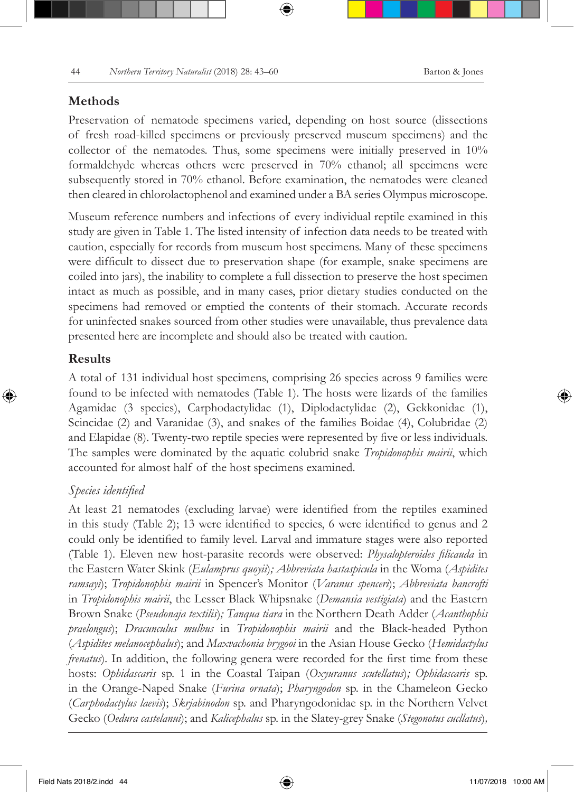#### **Methods**

Preservation of nematode specimens varied, depending on host source (dissections of fresh road-killed specimens or previously preserved museum specimens) and the collector of the nematodes. Thus, some specimens were initially preserved in 10% formaldehyde whereas others were preserved in 70% ethanol; all specimens were subsequently stored in 70% ethanol. Before examination, the nematodes were cleaned then cleared in chlorolactophenol and examined under a BA series Olympus microscope.

Museum reference numbers and infections of every individual reptile examined in this study are given in Table 1. The listed intensity of infection data needs to be treated with caution, especially for records from museum host specimens. Many of these specimens were difficult to dissect due to preservation shape (for example, snake specimens are coiled into jars), the inability to complete a full dissection to preserve the host specimen intact as much as possible, and in many cases, prior dietary studies conducted on the specimens had removed or emptied the contents of their stomach. Accurate records for uninfected snakes sourced from other studies were unavailable, thus prevalence data presented here are incomplete and should also be treated with caution.

#### **Results**

A total of 131 individual host specimens, comprising 26 species across 9 families were found to be infected with nematodes (Table 1). The hosts were lizards of the families Agamidae (3 species), Carphodactylidae (1), Diplodactylidae (2), Gekkonidae (1), Scincidae (2) and Varanidae (3), and snakes of the families Boidae (4), Colubridae (2) and Elapidae (8). Twenty-two reptile species were represented by five or less individuals. The samples were dominated by the aquatic colubrid snake *Tropidonophis mairii*, which accounted for almost half of the host specimens examined.

#### *Species identified*

At least 21 nematodes (excluding larvae) were identified from the reptiles examined in this study (Table 2); 13 were identified to species, 6 were identified to genus and 2 could only be identified to family level. Larval and immature stages were also reported (Table 1). Eleven new host-parasite records were observed: *Physalopteroides filicauda* in the Eastern Water Skink (*Eulamprus quoyii*)*; Abbreviata hastaspicula* in the Woma (*Aspidites ramsayi*); *Tropidonophis mairii* in Spencer's Monitor (*Varanus spenceri*); *Abbreviata bancrofti* in *Tropidonophis mairii*, the Lesser Black Whipsnake (*Demansia vestigiata*) and the Eastern Brown Snake (*Pseudonaja textilis*)*; Tanqua tiara* in the Northern Death Adder (*Acanthophis praelongus*); *Dracunculus mulbus* in *Tropidonophis mairii* and the Black-headed Python (*Aspidites melanocephalus*); and *Maxvachonia brygooi* in the Asian House Gecko (*Hemidactylus frenatus*). In addition, the following genera were recorded for the first time from these hosts: *Ophidascaris* sp. 1 in the Coastal Taipan (*Oxyuranus scutellatus*)*; Ophidascaris* sp. in the Orange-Naped Snake (*Furina ornata*); *Pharyngodon* sp. in the Chameleon Gecko (*Carphodactylus laevis*); *Skrjabinodon* sp. and Pharyngodonidae sp. in the Northern Velvet Gecko (*Oedura castelanui*); and *Kalicephalus* sp. in the Slatey-grey Snake (*Stegonotus cucllatus*)*,*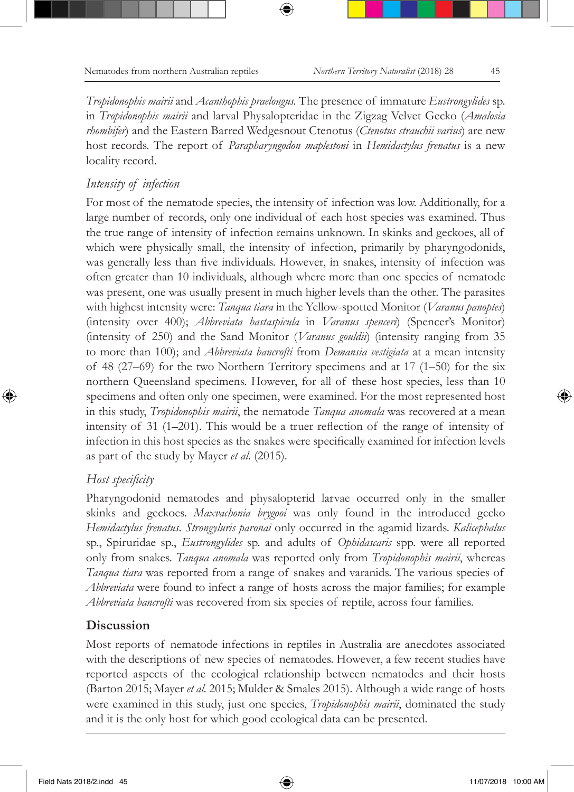*Tropidonophis mairii* and *Acanthophis praelongus.* The presence of immature *Eustrongylides* sp. in *Tropidonophis mairii* and larval Physalopteridae in the Zigzag Velvet Gecko (*Amalosia rhombifer*) and the Eastern Barred Wedgesnout Ctenotus (*Ctenotus strauchii varius*) are new host records. The report of *Parapharyngodon maplestoni* in *Hemidactylus frenatus* is a new locality record.

#### *Intensity of infection*

For most of the nematode species, the intensity of infection was low. Additionally, for a large number of records, only one individual of each host species was examined. Thus the true range of intensity of infection remains unknown. In skinks and geckoes, all of which were physically small, the intensity of infection, primarily by pharyngodonids, was generally less than five individuals. However, in snakes, intensity of infection was often greater than 10 individuals, although where more than one species of nematode was present, one was usually present in much higher levels than the other. The parasites with highest intensity were: *Tanqua tiara* in the Yellow-spotted Monitor (*Varanus panoptes*) (intensity over 400); *Abbreviata hastaspicula* in *Varanus spenceri*) (Spencer's Monitor) (intensity of 250) and the Sand Monitor (*Varanus gouldii*) (intensity ranging from 35 to more than 100); and *Abbreviata bancrofti* from *Demansia vestigiata* at a mean intensity of 48 (27–69) for the two Northern Territory specimens and at 17 (1–50) for the six northern Queensland specimens. However, for all of these host species, less than 10 specimens and often only one specimen, were examined. For the most represented host in this study, *Tropidonophis mairii*, the nematode *Tanqua anomala* was recovered at a mean intensity of 31 (1–201). This would be a truer reflection of the range of intensity of infection in this host species as the snakes were specifically examined for infection levels as part of the study by Mayer *et al.* (2015).

#### *Host specificity*

Pharyngodonid nematodes and physalopterid larvae occurred only in the smaller skinks and geckoes. *Maxvachonia brygooi* was only found in the introduced gecko *Hemidactylus frenatus*. *Strongyluris paronai* only occurred in the agamid lizards. *Kalicephalus* sp., Spiruridae sp., *Eustrongylides* sp. and adults of *Ophidascaris* spp. were all reported only from snakes. *Tanqua anomala* was reported only from *Tropidonophis mairii*, whereas *Tanqua tiara* was reported from a range of snakes and varanids. The various species of *Abbreviata* were found to infect a range of hosts across the major families; for example *Abbreviata bancrofti* was recovered from six species of reptile, across four families.

#### **Discussion**

Most reports of nematode infections in reptiles in Australia are anecdotes associated with the descriptions of new species of nematodes. However, a few recent studies have reported aspects of the ecological relationship between nematodes and their hosts (Barton 2015; Mayer *et al.* 2015; Mulder & Smales 2015). Although a wide range of hosts were examined in this study, just one species, *Tropidonophis mairii*, dominated the study and it is the only host for which good ecological data can be presented.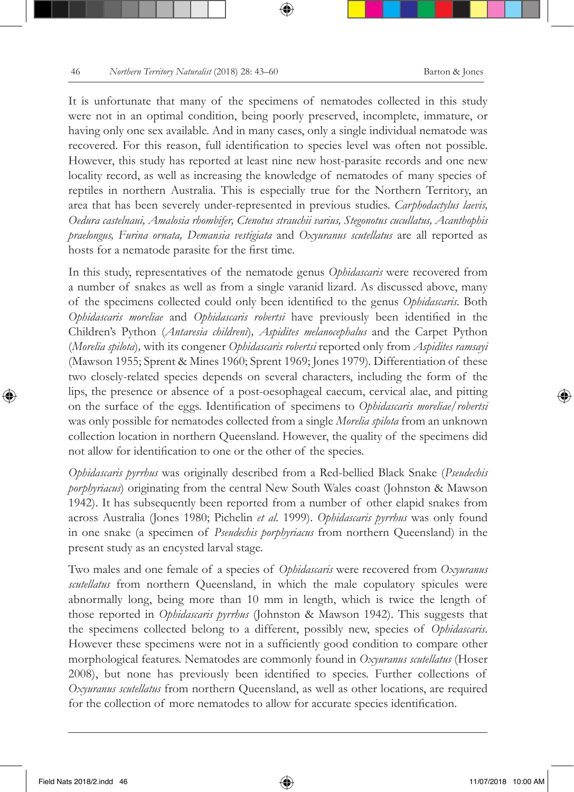It is unfortunate that many of the specimens of nematodes collected in this study were not in an optimal condition, being poorly preserved, incomplete, immature, or having only one sex available. And in many cases, only a single individual nematode was recovered. For this reason, full identification to species level was often not possible. However, this study has reported at least nine new host-parasite records and one new locality record, as well as increasing the knowledge of nematodes of many species of reptiles in northern Australia. This is especially true for the Northern Territory, an area that has been severely under-represented in previous studies. *Carphodactylus laevis, Oedura castelnaui, Amalosia rhombifer, Ctenotus strauchii varius, Stegonotus cucullatus, Acanthophis praelongus, Furina ornata, Demansia vestigiata* and *Oxyuranus scutellatus* are all reported as hosts for a nematode parasite for the first time.

In this study, representatives of the nematode genus *Ophidascaris* were recovered from a number of snakes as well as from a single varanid lizard. As discussed above, many of the specimens collected could only been identified to the genus *Ophidascaris*. Both *Ophidascaris moreliae* and *Ophidascaris robertsi* have previously been identified in the Children's Python (*Antaresia childreni*)*, Aspidites melanocephalus* and the Carpet Python (*Morelia spilota*)*,* with its congener *Ophidascaris robertsi* reported only from *Aspidites ramsayi*  (Mawson 1955; Sprent & Mines 1960; Sprent 1969; Jones 1979)*.* Differentiation of these two closely-related species depends on several characters, including the form of the lips, the presence or absence of a post-oesophageal caecum, cervical alae, and pitting on the surface of the eggs. Identification of specimens to *Ophidascaris moreliae/robertsi* was only possible for nematodes collected from a single *Morelia spilota* from an unknown collection location in northern Queensland. However, the quality of the specimens did not allow for identification to one or the other of the species.

*Ophidascaris pyrrhus* was originally described from a Red-bellied Black Snake (*Pseudechis porphyriacus*) originating from the central New South Wales coast (Johnston & Mawson 1942). It has subsequently been reported from a number of other elapid snakes from across Australia (Jones 1980; Pichelin *et al.* 1999). *Ophidascaris pyrrhus* was only found in one snake (a specimen of *Pseudechis porphyriacus* from northern Queensland) in the present study as an encysted larval stage.

Two males and one female of a species of *Ophidascaris* were recovered from *Oxyuranus scutellatus* from northern Queensland, in which the male copulatory spicules were abnormally long, being more than 10 mm in length, which is twice the length of those reported in *Ophidascaris pyrrhus* (Johnston & Mawson 1942). This suggests that the specimens collected belong to a different, possibly new, species of *Ophidascaris*. However these specimens were not in a sufficiently good condition to compare other morphological features. Nematodes are commonly found in *Oxyuranus scutellatus* (Hoser 2008), but none has previously been identified to species. Further collections of *Oxyuranus scutellatus* from northern Queensland, as well as other locations, are required for the collection of more nematodes to allow for accurate species identification.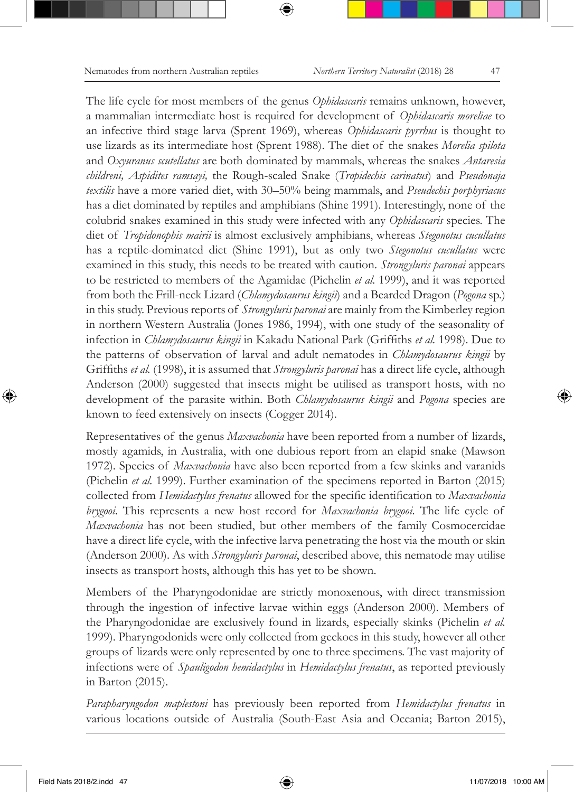The life cycle for most members of the genus *Ophidascaris* remains unknown, however, a mammalian intermediate host is required for development of *Ophidascaris moreliae* to an infective third stage larva (Sprent 1969), whereas *Ophidascaris pyrrhus* is thought to use lizards as its intermediate host (Sprent 1988). The diet of the snakes *Morelia spilota* and *Oxyuranus scutellatus* are both dominated by mammals, whereas the snakes *Antaresia childreni, Aspidites ramsayi,* the Rough-scaled Snake (*Tropidechis carinatus*) and *Pseudonaja textilis* have a more varied diet, with 30–50% being mammals, and *Pseudechis porphyriacus* has a diet dominated by reptiles and amphibians (Shine 1991). Interestingly, none of the colubrid snakes examined in this study were infected with any *Ophidascaris* species. The diet of *Tropidonophis mairii* is almost exclusively amphibians, whereas *Stegonotus cucullatus* has a reptile-dominated diet (Shine 1991), but as only two *Stegonotus cucullatus* were examined in this study, this needs to be treated with caution. *Strongyluris paronai* appears to be restricted to members of the Agamidae (Pichelin *et al.* 1999), and it was reported from both the Frill-neck Lizard (*Chlamydosaurus kingii*) and a Bearded Dragon (*Pogona* sp.) in this study. Previous reports of *Strongyluris paronai* are mainly from the Kimberley region in northern Western Australia (Jones 1986, 1994), with one study of the seasonality of infection in *Chlamydosaurus kingii* in Kakadu National Park (Griffiths *et al.* 1998). Due to the patterns of observation of larval and adult nematodes in *Chlamydosaurus kingii* by Griffiths *et al.* (1998), it is assumed that *Strongyluris paronai* has a direct life cycle, although Anderson (2000) suggested that insects might be utilised as transport hosts, with no development of the parasite within. Both *Chlamydosaurus kingii* and *Pogona* species are known to feed extensively on insects (Cogger 2014).

Representatives of the genus *Maxvachonia* have been reported from a number of lizards, mostly agamids, in Australia, with one dubious report from an elapid snake (Mawson 1972). Species of *Maxvachonia* have also been reported from a few skinks and varanids (Pichelin *et al.* 1999). Further examination of the specimens reported in Barton (2015) collected from *Hemidactylus frenatus* allowed for the specific identification to *Maxvachonia brygooi*. This represents a new host record for *Maxvachonia brygooi*. The life cycle of *Maxvachonia* has not been studied, but other members of the family Cosmocercidae have a direct life cycle, with the infective larva penetrating the host via the mouth or skin (Anderson 2000). As with *Strongyluris paronai*, described above, this nematode may utilise insects as transport hosts, although this has yet to be shown.

Members of the Pharyngodonidae are strictly monoxenous, with direct transmission through the ingestion of infective larvae within eggs (Anderson 2000). Members of the Pharyngodonidae are exclusively found in lizards, especially skinks (Pichelin *et al.* 1999). Pharyngodonids were only collected from geckoes in this study, however all other groups of lizards were only represented by one to three specimens. The vast majority of infections were of *Spauligodon hemidactylus* in *Hemidactylus frenatus*, as reported previously in Barton (2015).

*Parapharyngodon maplestoni* has previously been reported from *Hemidactylus frenatus* in various locations outside of Australia (South-East Asia and Oceania; Barton 2015),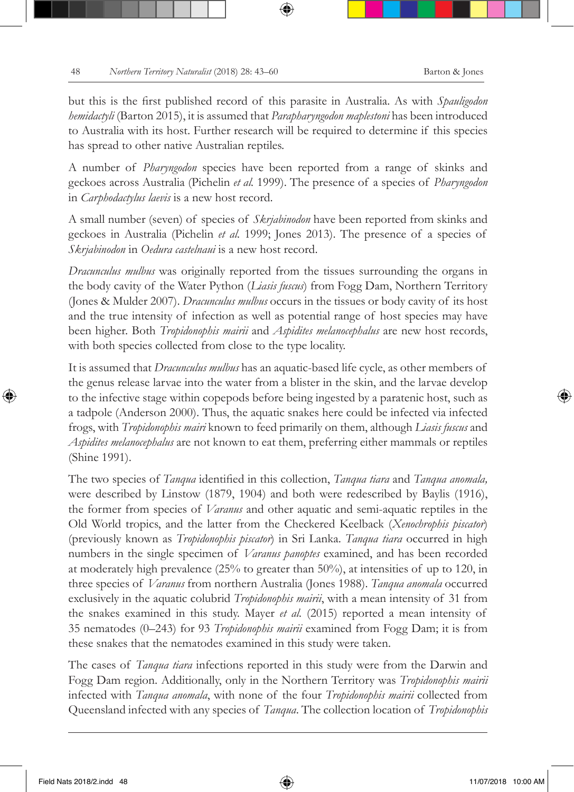but this is the first published record of this parasite in Australia. As with *Spauligodon hemidactyli* (Barton 2015), it is assumed that *Parapharyngodon maplestoni* has been introduced to Australia with its host. Further research will be required to determine if this species has spread to other native Australian reptiles.

A number of *Pharyngodon* species have been reported from a range of skinks and geckoes across Australia (Pichelin *et al.* 1999). The presence of a species of *Pharyngodon* in *Carphodactylus laevis* is a new host record.

A small number (seven) of species of *Skrjabinodon* have been reported from skinks and geckoes in Australia (Pichelin *et al.* 1999; Jones 2013). The presence of a species of *Skrjabinodon* in *Oedura castelnaui* is a new host record.

*Dracunculus mulbus* was originally reported from the tissues surrounding the organs in the body cavity of the Water Python (*Liasis fuscus*) from Fogg Dam, Northern Territory (Jones & Mulder 2007). *Dracunculus mulbus* occurs in the tissues or body cavity of its host and the true intensity of infection as well as potential range of host species may have been higher. Both *Tropidonophis mairii* and *Aspidites melanocephalus* are new host records, with both species collected from close to the type locality.

It is assumed that *Dracunculus mulbus* has an aquatic-based life cycle, as other members of the genus release larvae into the water from a blister in the skin, and the larvae develop to the infective stage within copepods before being ingested by a paratenic host, such as a tadpole (Anderson 2000). Thus, the aquatic snakes here could be infected via infected frogs, with *Tropidonophis mairi* known to feed primarily on them, although *Liasis fuscus* and *Aspidites melanocephalus* are not known to eat them, preferring either mammals or reptiles (Shine 1991).

The two species of *Tanqua* identified in this collection, *Tanqua tiara* and *Tanqua anomala,*  were described by Linstow (1879, 1904) and both were redescribed by Baylis (1916), the former from species of *Varanus* and other aquatic and semi-aquatic reptiles in the Old World tropics, and the latter from the Checkered Keelback (*Xenochrophis piscator*) (previously known as *Tropidonophis piscator*) in Sri Lanka. *Tanqua tiara* occurred in high numbers in the single specimen of *Varanus panoptes* examined, and has been recorded at moderately high prevalence (25% to greater than 50%), at intensities of up to 120, in three species of *Varanus* from northern Australia (Jones 1988). *Tanqua anomala* occurred exclusively in the aquatic colubrid *Tropidonophis mairii*, with a mean intensity of 31 from the snakes examined in this study. Mayer *et al.* (2015) reported a mean intensity of 35 nematodes (0–243) for 93 *Tropidonophis mairii* examined from Fogg Dam; it is from these snakes that the nematodes examined in this study were taken.

The cases of *Tanqua tiara* infections reported in this study were from the Darwin and Fogg Dam region. Additionally, only in the Northern Territory was *Tropidonophis mairii* infected with *Tanqua anomala*, with none of the four *Tropidonophis mairii* collected from Queensland infected with any species of *Tanqua*. The collection location of *Tropidonophis*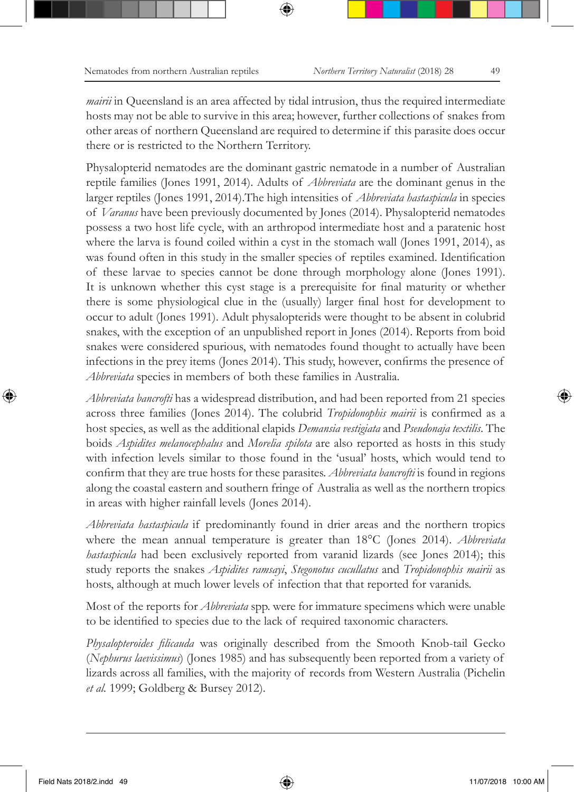*mairii* in Queensland is an area affected by tidal intrusion, thus the required intermediate hosts may not be able to survive in this area; however, further collections of snakes from other areas of northern Queensland are required to determine if this parasite does occur there or is restricted to the Northern Territory.

Physalopterid nematodes are the dominant gastric nematode in a number of Australian reptile families (Jones 1991, 2014). Adults of *Abbreviata* are the dominant genus in the larger reptiles (Jones 1991, 2014).The high intensities of *Abbreviata hastaspicula* in species of *Varanus* have been previously documented by Jones (2014). Physalopterid nematodes possess a two host life cycle, with an arthropod intermediate host and a paratenic host where the larva is found coiled within a cyst in the stomach wall (Jones 1991, 2014), as was found often in this study in the smaller species of reptiles examined. Identification of these larvae to species cannot be done through morphology alone (Jones 1991). It is unknown whether this cyst stage is a prerequisite for final maturity or whether there is some physiological clue in the (usually) larger final host for development to occur to adult (Jones 1991). Adult physalopterids were thought to be absent in colubrid snakes, with the exception of an unpublished report in Jones (2014). Reports from boid snakes were considered spurious, with nematodes found thought to actually have been infections in the prey items (Jones 2014). This study, however, confirms the presence of *Abbreviata* species in members of both these families in Australia.

*Abbreviata bancrofti* has a widespread distribution, and had been reported from 21 species across three families (Jones 2014). The colubrid *Tropidonophis mairii* is confirmed as a host species, as well as the additional elapids *Demansia vestigiata* and *Pseudonaja textilis*. The boids *Aspidites melanocephalus* and *Morelia spilota* are also reported as hosts in this study with infection levels similar to those found in the 'usual' hosts, which would tend to confirm that they are true hosts for these parasites. *Abbreviata bancrofti* is found in regions along the coastal eastern and southern fringe of Australia as well as the northern tropics in areas with higher rainfall levels (Jones 2014).

*Abbreviata hastaspicula* if predominantly found in drier areas and the northern tropics where the mean annual temperature is greater than 18°C (Jones 2014). *Abbreviata hastaspicula* had been exclusively reported from varanid lizards (see Jones 2014); this study reports the snakes *Aspidites ramsayi*, *Stegonotus cucullatus* and *Tropidonophis mairii* as hosts, although at much lower levels of infection that that reported for varanids.

Most of the reports for *Abbreviata* spp. were for immature specimens which were unable to be identified to species due to the lack of required taxonomic characters.

*Physalopteroides filicauda* was originally described from the Smooth Knob-tail Gecko (*Nephurus laevissimus*) (Jones 1985) and has subsequently been reported from a variety of lizards across all families, with the majority of records from Western Australia (Pichelin *et al.* 1999; Goldberg & Bursey 2012).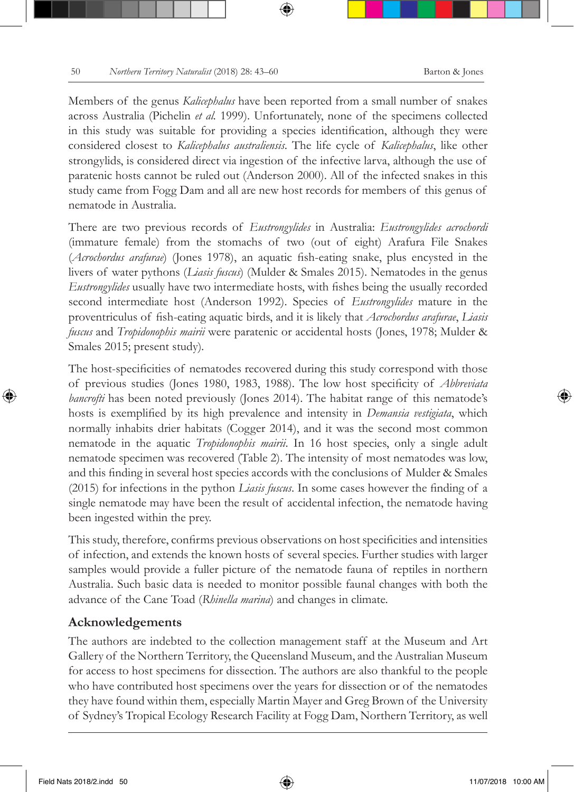Members of the genus *Kalicephalus* have been reported from a small number of snakes across Australia (Pichelin *et al.* 1999). Unfortunately, none of the specimens collected in this study was suitable for providing a species identification, although they were considered closest to *Kalicephalus australiensis*. The life cycle of *Kalicephalus*, like other strongylids, is considered direct via ingestion of the infective larva, although the use of paratenic hosts cannot be ruled out (Anderson 2000). All of the infected snakes in this study came from Fogg Dam and all are new host records for members of this genus of nematode in Australia.

There are two previous records of *Eustrongylides* in Australia: *Eustrongylides acrochordi*  (immature female) from the stomachs of two (out of eight) Arafura File Snakes (*Acrochordus arafurae*) (Jones 1978), an aquatic fish-eating snake, plus encysted in the livers of water pythons (*Liasis fuscus*) (Mulder & Smales 2015). Nematodes in the genus *Eustrongylides* usually have two intermediate hosts, with fishes being the usually recorded second intermediate host (Anderson 1992). Species of *Eustrongylides* mature in the proventriculus of fish-eating aquatic birds, and it is likely that *Acrochordus arafurae*, *Liasis fuscus* and *Tropidonophis mairii* were paratenic or accidental hosts (Jones, 1978; Mulder & Smales 2015; present study)*.* 

The host-specificities of nematodes recovered during this study correspond with those of previous studies (Jones 1980, 1983, 1988). The low host specificity of *Abbreviata bancrofti* has been noted previously (Jones 2014). The habitat range of this nematode's hosts is exemplified by its high prevalence and intensity in *Demansia vestigiata*, which normally inhabits drier habitats (Cogger 2014), and it was the second most common nematode in the aquatic *Tropidonophis mairii*. In 16 host species, only a single adult nematode specimen was recovered (Table 2). The intensity of most nematodes was low, and this finding in several host species accords with the conclusions of Mulder & Smales (2015) for infections in the python *Liasis fuscus*. In some cases however the finding of a single nematode may have been the result of accidental infection, the nematode having been ingested within the prey.

This study, therefore, confirms previous observations on host specificities and intensities of infection, and extends the known hosts of several species. Further studies with larger samples would provide a fuller picture of the nematode fauna of reptiles in northern Australia. Such basic data is needed to monitor possible faunal changes with both the advance of the Cane Toad (*Rhinella marina*) and changes in climate.

#### **Acknowledgements**

The authors are indebted to the collection management staff at the Museum and Art Gallery of the Northern Territory, the Queensland Museum, and the Australian Museum for access to host specimens for dissection. The authors are also thankful to the people who have contributed host specimens over the years for dissection or of the nematodes they have found within them, especially Martin Mayer and Greg Brown of the University of Sydney's Tropical Ecology Research Facility at Fogg Dam, Northern Territory, as well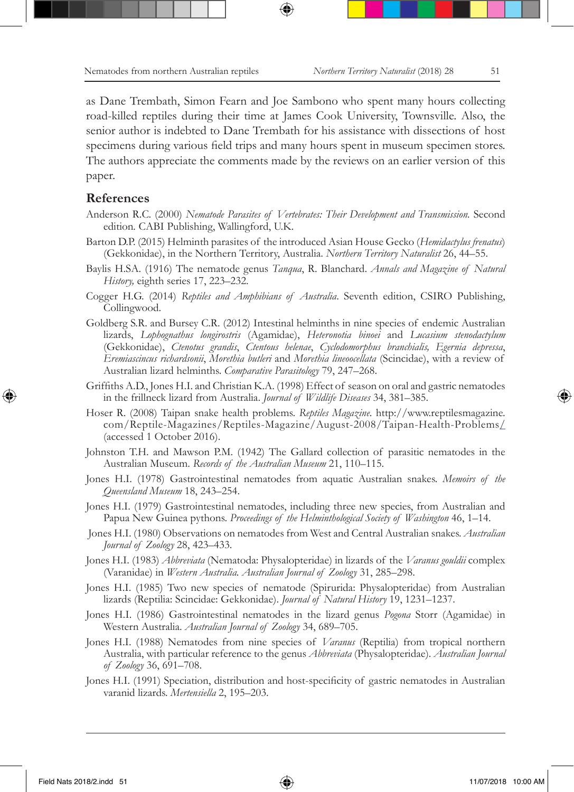as Dane Trembath, Simon Fearn and Joe Sambono who spent many hours collecting road-killed reptiles during their time at James Cook University, Townsville. Also, the senior author is indebted to Dane Trembath for his assistance with dissections of host specimens during various field trips and many hours spent in museum specimen stores. The authors appreciate the comments made by the reviews on an earlier version of this paper.

#### **References**

- Anderson R.C. (2000) *Nematode Parasites of Vertebrates: Their Development and Transmission.* Second edition*.* CABI Publishing, Wallingford, U.K.
- Barton D.P. (2015) Helminth parasites of the introduced Asian House Gecko (*Hemidactylus frenatus*) (Gekkonidae), in the Northern Territory, Australia. *Northern Territory Naturalist* 26, 44–55.
- Baylis H.SA. (1916) The nematode genus *Tanqua*, R. Blanchard. *Annals and Magazine of Natural History,* eighth series 17, 223–232.
- Cogger H.G. (2014) *Reptiles and Amphibians of Australia*. Seventh edition, CSIRO Publishing, Collingwood.
- Goldberg S.R. and Bursey C.R. (2012) Intestinal helminths in nine species of endemic Australian lizards, *Lophognathus longirostris* (Agamidae), *Heteronotia binoei* and *Lucasium stenodactylum* (Gekkonidae), *Ctenotus grandis*, *Ctentous helenae*, *Cyclodomorphus branchialis, Egernia depressa*, *Eremiascincus richardsonii*, *Morethia butleri* and *Morethia lineoocellata* (Scincidae), with a review of Australian lizard helminths. *Comparative Parasitology* 79, 247–268.
- Griffiths A.D., Jones H.I. and Christian K.A. (1998) Effect of season on oral and gastric nematodes in the frillneck lizard from Australia. *Journal of Wildlife Diseases* 34, 381–385.
- Hoser R. (2008) Taipan snake health problems. *Reptiles Magazine*. http://www.reptilesmagazine. com/Reptile-Magazines/Reptiles-Magazine/August-2008/Taipan-Health-Problems/ (accessed 1 October 2016).
- Johnston T.H. and Mawson P.M. (1942) The Gallard collection of parasitic nematodes in the Australian Museum. *Records of the Australian Museum* 21, 110–115.
- Jones H.I. (1978) Gastrointestinal nematodes from aquatic Australian snakes. *Memoirs of the Queensland Museum* 18, 243–254.
- Jones H.I. (1979) Gastrointestinal nematodes, including three new species, from Australian and Papua New Guinea pythons. *Proceedings of the Helminthological Society of Washington* 46, 1–14.
- Jones H.I. (1980) Observations on nematodes from West and Central Australian snakes. *Australian Journal of Zoology* 28, 423–433.
- Jones H.I. (1983) *Abbreviata* (Nematoda: Physalopteridae) in lizards of the *Varanus gouldii* complex (Varanidae) in *Western Australia. Australian Journal of Zoology* 31, 285–298.
- Jones H.I. (1985) Two new species of nematode (Spirurida: Physalopteridae) from Australian lizards (Reptilia: Scincidae: Gekkonidae). *Journal of Natural History* 19, 1231–1237.
- Jones H.I. (1986) Gastrointestinal nematodes in the lizard genus *Pogona* Storr (Agamidae) in Western Australia. *Australian Journal of Zoology* 34, 689–705.
- Jones H.I. (1988) Nematodes from nine species of *Varanus* (Reptilia) from tropical northern Australia, with particular reference to the genus *Abbreviata* (Physalopteridae). *Australian Journal of Zoology* 36, 691–708.
- Jones H.I. (1991) Speciation, distribution and host-specificity of gastric nematodes in Australian varanid lizards. *Mertensiella* 2, 195–203.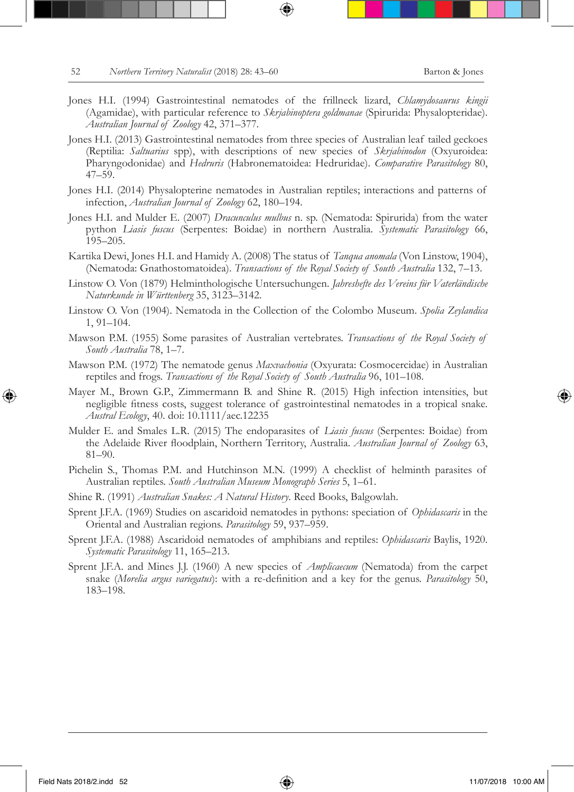- Jones H.I. (1994) Gastrointestinal nematodes of the frillneck lizard, *Chlamydosaurus kingii*  (Agamidae), with particular reference to *Skrjabinoptera goldmanae* (Spirurida: Physalopteridae). *Australian Journal of Zoology* 42, 371–377.
- Jones H.I. (2013) Gastrointestinal nematodes from three species of Australian leaf tailed geckoes (Reptilia: *Saltuarius* spp), with descriptions of new species of *Skrjabinodon* (Oxyuroidea: Pharyngodonidae) and *Hedruris* (Habronematoidea: Hedruridae). *Comparative Parasitology* 80, 47–59.
- Jones H.I. (2014) Physalopterine nematodes in Australian reptiles; interactions and patterns of infection, *Australian Journal of Zoology* 62, 180–194.
- Jones H.I. and Mulder E. (2007) *Dracunculus mulbus* n. sp. (Nematoda: Spirurida) from the water python *Liasis fuscus* (Serpentes: Boidae) in northern Australia. *Systematic Parasitology* 66, 195–205.
- Kartika Dewi, Jones H.I. and Hamidy A. (2008) The status of *Tanqua anomala* (Von Linstow, 1904), (Nematoda: Gnathostomatoidea). *Transactions of the Royal Society of South Australia* 132, 7–13.
- Linstow O. Von (1879) Helminthologische Untersuchungen. *Jahreshefte des Vereins für Vaterländische Naturkunde in Württenberg* 35, 3123–3142.
- Linstow O. Von (1904). Nematoda in the Collection of the Colombo Museum. *Spolia Zeylandica*  1, 91–104.
- Mawson P.M. (1955) Some parasites of Australian vertebrates. *Transactions of the Royal Society of South Australia* 78, 1–7.
- Mawson P.M. (1972) The nematode genus *Maxvachonia* (Oxyurata: Cosmocercidae) in Australian reptiles and frogs. *Transactions of the Royal Society of South Australia* 96, 101–108.
- Mayer M., Brown G.P., Zimmermann B. and Shine R. (2015) High infection intensities, but negligible fitness costs, suggest tolerance of gastrointestinal nematodes in a tropical snake. *Austral Ecology*, 40. doi: 10.1111/aec.12235
- Mulder E. and Smales L.R. (2015) The endoparasites of *Liasis fuscus* (Serpentes: Boidae) from the Adelaide River floodplain, Northern Territory, Australia. *Australian Journal of Zoology* 63, 81–90.
- Pichelin S., Thomas P.M. and Hutchinson M.N. (1999) A checklist of helminth parasites of Australian reptiles. *South Australian Museum Monograph Series* 5, 1–61.
- Shine R. (1991) *Australian Snakes: A Natural History*. Reed Books, Balgowlah.
- Sprent J.F.A. (1969) Studies on ascaridoid nematodes in pythons: speciation of *Ophidascaris* in the Oriental and Australian regions. *Parasitology* 59, 937–959.
- Sprent J.F.A. (1988) Ascaridoid nematodes of amphibians and reptiles: *Ophidascaris* Baylis, 1920. *Systematic Parasitology* 11, 165–213.
- Sprent J.F.A. and Mines J.J. (1960) A new species of *Amplicaecum* (Nematoda) from the carpet snake (*Morelia argus variegatus*): with a re-definition and a key for the genus. *Parasitology* 50, 183–198.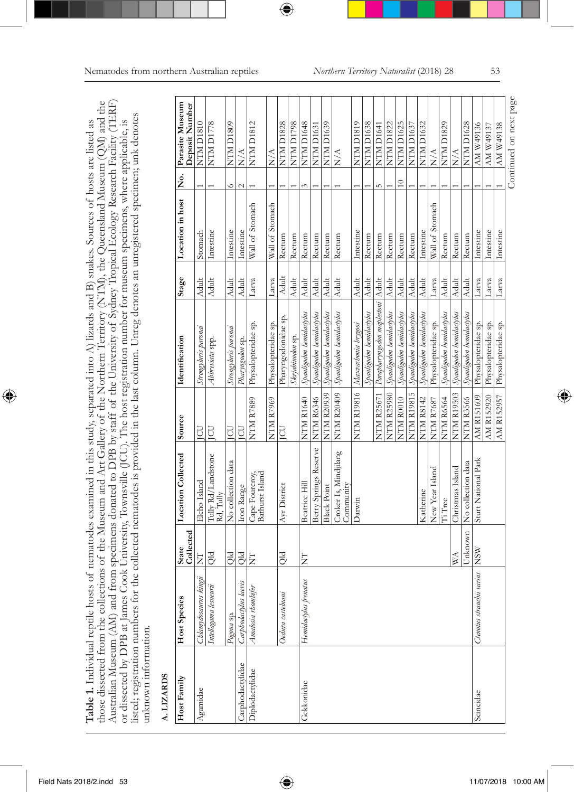| Table 1. Individual reptile hosts of nematodes examined in this study, separated into A) lizards and B) snakes. Sources of hosts are listed as |
|------------------------------------------------------------------------------------------------------------------------------------------------|
| those dissected from the collections of the Museum and Art Gallery of the Northern Territory (NTM), the Queensland Museum (QM) and the         |
| Australian Museum (AM) and from specimens donated to DPB by staff of the University of Sydney Tropical Ecology Research Facility (TERF)        |
| or dissected by DPB at James Cook University, Townsville (JCU). The host registration number for museum specimens, where applicable, is        |
| listed; registration numbers for the collected nematodes is provided in the last column. Unreg denotes an unregistered specimen; unk denotes   |
|                                                                                                                                                |
|                                                                                                                                                |

# A. LIZARDS  **A. LIZARDS**

| Host Family      | Host Species                  | State<br>Collected | <b>Location Collected</b>          | Source            | Identification                              | Stage        | Location in host | $\dot{\tilde{\mathbf{z}}}$ | Parasite Museum<br>Deposit Number |
|------------------|-------------------------------|--------------------|------------------------------------|-------------------|---------------------------------------------|--------------|------------------|----------------------------|-----------------------------------|
| Agamidae         | Chlamydosaurus kingii         | Ë                  | Elcho Island                       | <b>CD</b>         | Strongyluris paronai                        | <b>Adult</b> | Stomach          |                            | NTM D1810                         |
|                  | Intellagama lesueurii         | PlQ                | Tully Rd/Landstone<br>Rd, Tully    | <b>POL</b>        | Abbreviata spp.                             | <b>Adult</b> | Intestine        |                            | <b>NTM D1778</b>                  |
|                  | Pogona sp.                    | Qld                | No collection data                 | <b>CD</b>         | Strongyluris paronai                        | <b>Adult</b> | Intestine        | Ğ                          | NTM D1809                         |
| Carphodactylidae | Carphodactylus laevis         | <b>Qld</b>         | Iron Range                         | EDI               | Pharyngodon sp.                             | Adult        | Intestine        |                            | $\frac{1}{2}$                     |
| Diplodactylidae  | Amalosia rhombifer            | E                  | Bathurst Island<br>Cape Fourcroy,  | <b>NTM R7889</b>  | Physalopteridae sp.                         | Larva        | Wall of Stomach  |                            | <b>NTM D1812</b>                  |
|                  |                               |                    |                                    | NTM R7969         | Physalopteridae sp.                         | Larva        | Wall of Stomach  |                            | $\frac{1}{2}$                     |
|                  | Oedura castelnaui             | Qld                | Ayr District                       | <b>CD</b>         | Pharyngodonidae sp.                         | Adult        | Rectum           |                            | <b>NTM D1828</b>                  |
|                  |                               |                    |                                    |                   | Skrjabinodon sp.                            | <b>Adult</b> | Rectum           |                            | NTM D1798                         |
| Gekkonidae       | Hemidactylus frenatus         | E                  | Beatrice Hill                      | NTM R1640         | Spanligodon hemidactylus                    | <b>Adult</b> | Rectum           |                            | NTM D1648                         |
|                  |                               |                    | Berry Springs Reserve              | NTM R6346         | Spauligodon hemidactylus                    | Adult        | Rectum           |                            | NTM D1631                         |
|                  |                               |                    | <b>Black Point</b>                 |                   | NTM R20939 Spanligodon hemidactylus         | <b>Adult</b> | Rectum           |                            | NTM D1639                         |
|                  |                               |                    | Croker Is, Mindjilang<br>Community |                   | NTM R20409 Spauligodon hemidactylus         | <b>Adult</b> | Rectum           |                            | $\sum_{i=1}^{n}$                  |
|                  |                               |                    | Darwin                             |                   | NTM R19816  Maxwahonia brygoa               | <b>Adult</b> | Intestine        |                            | NTM D1819                         |
|                  |                               |                    |                                    |                   | Spauligodon hemidactylus                    | <b>Adult</b> | Rectum           |                            | NTM D1638                         |
|                  |                               |                    |                                    |                   | NTM R25671 Parapharyngodon maplestoni Adult |              | Rectum           |                            | NTM D1641                         |
|                  |                               |                    |                                    |                   | NTM R25980 Spanligodon hemidactylus         | <b>Adult</b> | Rectum           |                            | <b>NTM D1822</b>                  |
|                  |                               |                    |                                    | NTM R0010         | Spauligodon hemidactylus                    | <b>Adult</b> | Rectum           | $\approx$                  | NTM D1625                         |
|                  |                               |                    |                                    |                   | NTM R19815 Spauligodon hemidactylus         | <b>Adult</b> | Rectum           |                            | <b>NTM D1637</b>                  |
|                  |                               |                    | Katherine                          | <b>NTM R8142</b>  | Spanligodon hemidactylus                    | <b>Adult</b> | Intestine        |                            | <b>NTM D1632</b>                  |
|                  |                               |                    | New Year Island                    | <b>NTM R7687</b>  | Physalopteridae sp.                         | Larva        | Wall of Stomach  |                            | $\sum_{i=1}^{n}$                  |
|                  |                               |                    | Ii Tree                            | NTM R6564         | Spanligodon hemidactylus                    | <b>Adult</b> | Rectum           |                            | NTM D1829                         |
|                  |                               | S                  | Christmas Island                   |                   | NTM R19503 Spauligodon hemidactylus         | <b>Adult</b> | Rectum           |                            | $\frac{\triangle}{N}$             |
|                  |                               | Unknown            | No collection data                 | <b>NTM R3566</b>  | Spauligodon hemidactylus                    | <b>Adult</b> | Rectum           |                            | <b>NTM D1628</b>                  |
| Scincidae        | Ctenatus strauchii varius NSW |                    | Sturt National Park                | <b>AM R151609</b> | Physalopteridae sp.                         | Larva        | Intestine        |                            | AM W49136                         |
|                  |                               |                    |                                    | AM R152920        | Physalopteridae sp.                         | Larva        | Intestine        |                            | AM W49137                         |
|                  |                               |                    |                                    | AM R152957        | Physalopteridae sp.                         | Larva        | Intestine        |                            | AM W49138                         |
|                  |                               |                    |                                    |                   |                                             |              |                  |                            | Continued on next page            |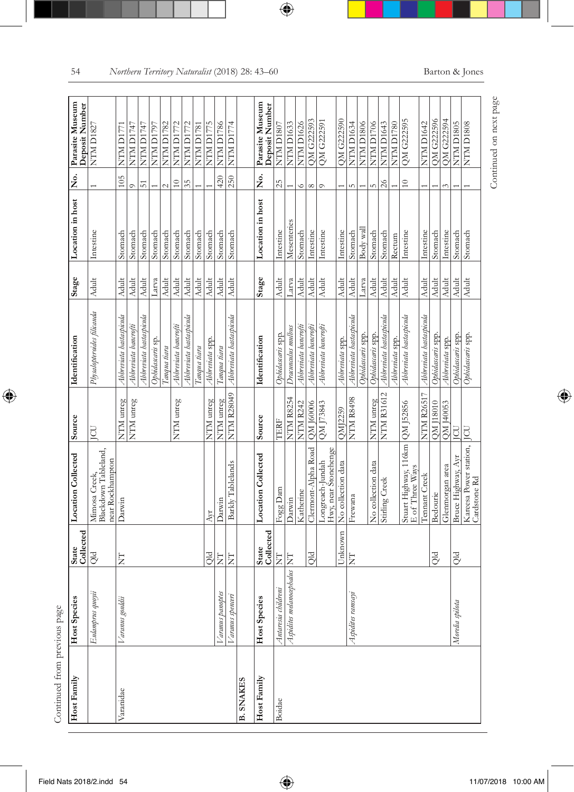| Host Family      | Host Species                | State<br>Collected | <b>Location Collected</b>                                 | Source            | Identification             | Stage        | Location in host | ż.              | Parasite Museum<br>Deposit Number |
|------------------|-----------------------------|--------------------|-----------------------------------------------------------|-------------------|----------------------------|--------------|------------------|-----------------|-----------------------------------|
|                  | Eulamprus quoyii            | Qld                | Mimosa Creek,<br>Blackdown Tableland.<br>near Rockhampton | g                 | Physalopteroides filicauda | <b>Adult</b> | Intestine        |                 | NTM D1827                         |
| Varanidae        | Varanus gouldii             | E                  | Darwin                                                    | NTM unreg         | Abbreviata hastaspicula    | <b>Adult</b> | Stomach          | 105             | NTM D1771                         |
|                  |                             |                    |                                                           | NTM unreg         | Abbreviata bancrofti       | <b>Adult</b> | Stomach          | $\circ$         | NTM D1747                         |
|                  |                             |                    |                                                           |                   | Abbreviata hastaspicula    | <b>Adult</b> | Stomach          | 51              | NTM D1747                         |
|                  |                             |                    |                                                           |                   | Ophidascaris sp.           | Larva        | Stomach          |                 | NTM D1797                         |
|                  |                             |                    |                                                           |                   | Гап <i>диа</i> tiara       | <b>Adult</b> | Stomach          | $\sim$          | <b>NTM D1782</b>                  |
|                  |                             |                    |                                                           | NTM unreg         | Abbreviata bancrofti       | <b>Adult</b> | Stomach          | $\Xi$           | <b>NTM D1772</b>                  |
|                  |                             |                    |                                                           |                   | Abbreviata hastaspicula    | <b>Adult</b> | Stomach          | 35              | NTM D1772                         |
|                  |                             |                    |                                                           |                   | Canqua tiara               | <b>Adult</b> | Stomach          |                 | NTM D1781                         |
|                  |                             | <b>DIO</b>         | Åvr                                                       | NTM unreg         | Abbreviata spp.            | <b>Adult</b> | Stomach          |                 | NTM D1775                         |
|                  | aranus panoptes             | E                  | Darwin                                                    | NTM unreg         | Гап <i>ана іш</i> ға       | Adult        | Stomach          | 420             | <b>NTM D1786</b>                  |
|                  | Varanus spenceri            | E                  | Barkly Tablelands                                         | NTM R28049        | Abbreviata hastaspicula    | <b>Adult</b> | Stomach          | 250             | <b>NTM D1774</b>                  |
| <b>B. SNAKES</b> |                             |                    |                                                           |                   |                            |              |                  |                 |                                   |
| Host Family      | Host Species                | State<br>Collected | <b>Location Collected</b>                                 | Source            | Identification             | Stage        | Location in host | ş<br>2          | Parasite Museum<br>Deposit Number |
| Boidae           | Antaresia childreni         | $\overline{z}$     | Fogg Dam                                                  | TERF              | Ophidascaris spp.          | <b>Adult</b> | Intestine        | 25              | NTM D1807                         |
|                  | Aspidites melanocephalus NT |                    | Darwin                                                    | <b>NTM R8254</b>  | Dracunculus mulbus         | Larva        | Mesenteries      |                 | <b>NTM D1633</b>                  |
|                  |                             |                    | Katherine                                                 | <b>NTM R242</b>   | Abbreviata bancrofti       | <b>Adult</b> | Stomach          | $\circ$         | <b>NTM D1626</b>                  |
|                  |                             | PIO                | Clermont-Alpha Road                                       | QM 160006         | Abbreviata bancrofti       | <b>Adult</b> | Intestine        | $\infty$        | QM G222593                        |
|                  |                             |                    | Longreach-Jundah<br>Hwy, near Stonehenge                  | QM J73843         | Abbreviata bancrofti       | <b>Adult</b> | Intestine        | $\circ$         | QM G222591                        |
|                  |                             | Unknown            | No collection data                                        | QMJ2259           | Abbreviata spp.            | <b>Adult</b> | Intestine        |                 | QM G222590                        |
|                  | Aspidites ramsayi           | E                  | Frewana                                                   | <b>NTM R8498</b>  | Abbreviata hastaspicula    | Adult        | Stomach          | $\sqrt{ }$      | NTM D1634                         |
|                  |                             |                    |                                                           |                   | Ophidascaris spp.          | Larva        | Body wall        |                 | NTM D1806                         |
|                  |                             |                    | No collection data                                        | NTM unreg         | Ophidascaris spp.          | Adult        | Stomach          | in,             | NTM D1706                         |
|                  |                             |                    | Stirling Creek                                            | <b>NTM R31612</b> | Abbreviata hastaspicula    | <b>Adult</b> | Stomach          | $\overline{26}$ | <b>NTM D1643</b>                  |
|                  |                             |                    |                                                           |                   | Abbreviata spp.            | <b>Adult</b> | Rectum           |                 | <b>NTM D1780</b>                  |
|                  |                             |                    | Stuart Highway, 116km                                     | QM J52856         | Abbreviata hastaspicula    | <b>Adult</b> | Intestine        | $\approx$       | QM G222595                        |
|                  |                             |                    | Tennant Creek                                             | <b>NTM R26517</b> | Abbreviata hastaspicula    | <b>Adult</b> | Intestine        |                 | NTM D1642                         |
|                  |                             | <b>DIO</b>         | Bedourie                                                  | QM J18010         | Ophidascaris spp.          | Adult        | Stomach          |                 | QM G222596                        |
|                  |                             |                    | Glenmorgan area                                           | QM J40053         | Abbreviata spp.            | <b>Adult</b> | Intestine        |                 | QM G222594                        |
|                  | Morelia spilota             | d<br>Qu            | Bruce Highway, Ayr                                        | ICU               | Ophidascaris spp.          | <b>Adult</b> | Stomach          |                 | NTM D1805                         |
|                  |                             |                    | Kareesa Power station, JCU<br>Cardstone Rd                |                   | Ophidascaris spp.          | <b>Adult</b> | Stomach          |                 | NTM D1808                         |

Continued from previous page Continued from previous page

Continued on next page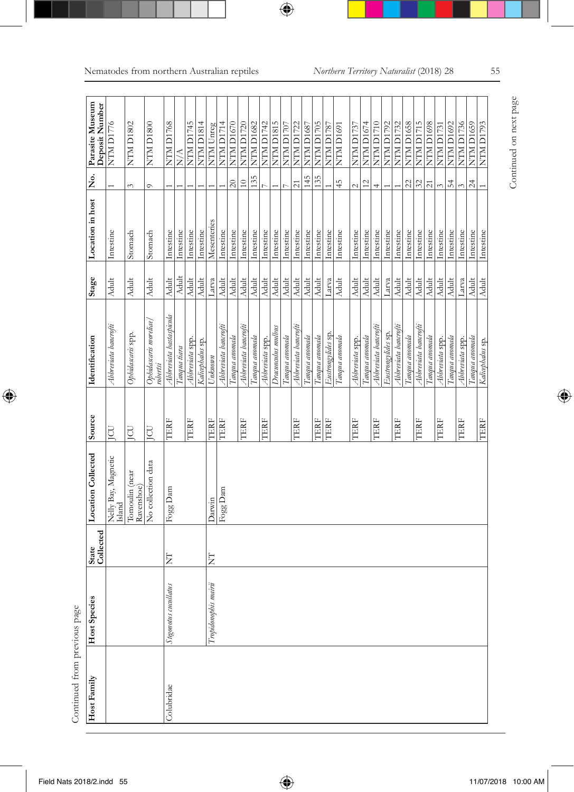| Host Family | <b>Host Species</b>   | State<br>Collected | Location Collected            | Source    | Identification                     | Stage                                                            | Location in host | $\frac{\dot{\mathsf{S}}}{\mathsf{Z}}$ | Parasite Museum<br>Deposit Number |
|-------------|-----------------------|--------------------|-------------------------------|-----------|------------------------------------|------------------------------------------------------------------|------------------|---------------------------------------|-----------------------------------|
|             |                       |                    | Nelly Bay, Magnetic<br>Island | g         | Abbreviata bancrofti               | <b>Adult</b>                                                     | Intestine        |                                       | NTM D1776                         |
|             |                       |                    | Tomoulin (near<br>Ravenshoe)  | JCU       | Ophidascaris spp.                  | Adult                                                            | Stomach          | 3                                     | NTM D <sub>1802</sub>             |
|             |                       |                    | No collection data            | <b>CU</b> | Ophidascaris moreliae/<br>robertsi | <b>Adult</b>                                                     | Stomach          | $\circ$                               | NTM D <sub>1800</sub>             |
| Colubridae  | Stegonotus cucullatus | E                  | Fogg Dam                      | TERF      | Abbreviata hastaspicula            | <b>Adult</b>                                                     | Intestine        |                                       | <b>NTM D1768</b>                  |
|             |                       |                    |                               |           | Tanqua tiara                       | <b>Adult</b>                                                     | Intestine        |                                       | $\frac{\triangle}{N}$             |
|             |                       |                    |                               | TERF      | Abbreviata spp.                    | <b>Adult</b>                                                     | Intestine        |                                       | NTM D1745                         |
|             |                       |                    |                               |           | Kalicephalus sp.                   | <b>Adult</b>                                                     | Intestine        |                                       | NTM D1814                         |
|             | Tropidonophis mairii  | Ę                  | Darwin                        | TERF      | Unknown                            | Larva                                                            | Mesenteries      |                                       | NTM Unreg                         |
|             |                       |                    | Fogg Dam                      | TERF      | Abbreviata bancrofti               | Adult                                                            | Intestine        |                                       | NTM D1714                         |
|             |                       |                    |                               |           | Tanqua anomala                     | $\Lambda \rm{dult}$                                              | Intestine        | $20\,$                                | NTM D1670                         |
|             |                       |                    |                               | TERF      | Abbreviata bancrofti               | $\Lambda \rm{dult}$                                              | Intestine        | $\approx$                             | <b>NTM D1720</b>                  |
|             |                       |                    |                               |           | Tanqua anomala                     | Adult                                                            | Intestine        | 135                                   | NTM D1682                         |
|             |                       |                    |                               | TERF      | Abbreviata spp.                    | Adult                                                            | Intestine        |                                       | NTM D1742                         |
|             |                       |                    |                               |           | Dracunculus mulbus                 | <b>Adult</b>                                                     | Intestine        |                                       | NTM D1815                         |
|             |                       |                    |                               |           | Tanqua anomala                     | Adult                                                            | Intestine        | $\overline{C}$                        | NTM D1707                         |
|             |                       |                    |                               | TERF      | Abbreviata bancrofti               | <b>Adult</b>                                                     | Intestine        | $\overline{21}$                       | <b>NTM D1722</b>                  |
|             |                       |                    |                               |           | Tanqua anomala                     | <b>Adult</b>                                                     | Intestine        | 145                                   | <b>NTM D1687</b>                  |
|             |                       |                    |                               | TERF      | Tanqua anomala                     | Adult                                                            | Intestine        | 135                                   | NTM D1705                         |
|             |                       |                    |                               | TERF      | Eustrongylides sp.                 | Larva                                                            | Intestine        |                                       | NTM D1787                         |
|             |                       |                    |                               |           | Tanqua anomala                     | <b>Adult</b>                                                     | Intestine        | 45                                    | NTM D1691                         |
|             |                       |                    |                               | TERF      | Abbreviata spp.                    | Adult                                                            | Intestine        | $\sim$                                | NTM D1737                         |
|             |                       |                    |                               |           | Tanqua anomala                     | Adult                                                            | Intestine        | $\frac{2}{2}$                         | NTM D1674                         |
|             |                       |                    |                               | TERF      | Abbreviata bancrofti               | Adult                                                            | Intestine        | 4                                     | NTM D1710                         |
|             |                       |                    |                               |           | Eustrongylides sp.                 | Larva                                                            | Intestine        |                                       | NTM D1792                         |
|             |                       |                    |                               | TERF      | Abbreviata bancrofti               | <b>Adult</b>                                                     | Intestine        |                                       | <b>NTM D1732</b>                  |
|             |                       |                    |                               |           | Гапана апотаю                      | <b>Adult</b>                                                     | Intestine        | $\mathfrak{Z}$                        | <b>NTM D1658</b>                  |
|             |                       |                    |                               | TERF      | Abbreviata bancrofti               | <b>Adult</b>                                                     | Intestine        | $\mathfrak{L}$                        | NTM D1715                         |
|             |                       |                    |                               |           | Tanqua anomala                     | Adult                                                            | Intestine        | $\overline{z}$                        | NTM D1698                         |
|             |                       |                    |                               | TERF      | Abbreviata spp.                    | $\overline{\overline{\mathbf{A}\mathbf{d}}\mathbf{d}\mathbf{t}}$ | Intestine        | $\epsilon$                            | <b>NTM D1731</b>                  |
|             |                       |                    |                               |           | Tangua anomala                     | Adult                                                            | Intestine        | $\overline{5}4$                       | <b>NTM D1692</b>                  |
|             |                       |                    |                               | TERF      | Abbreviata spp.                    | Larva                                                            | Intestine        |                                       | NTM D1736                         |
|             |                       |                    |                               |           | Tanqua anomala                     | Adult                                                            | Intestine        | $24\,$                                | NTM D1659                         |
|             |                       |                    |                               | TERF      | Kalicephalus sp.                   | Adult                                                            | Intestine        |                                       | <b>EGLICI NLIN</b>                |

Continued from previous page Continued from previous page

Continued on next page Continued on next page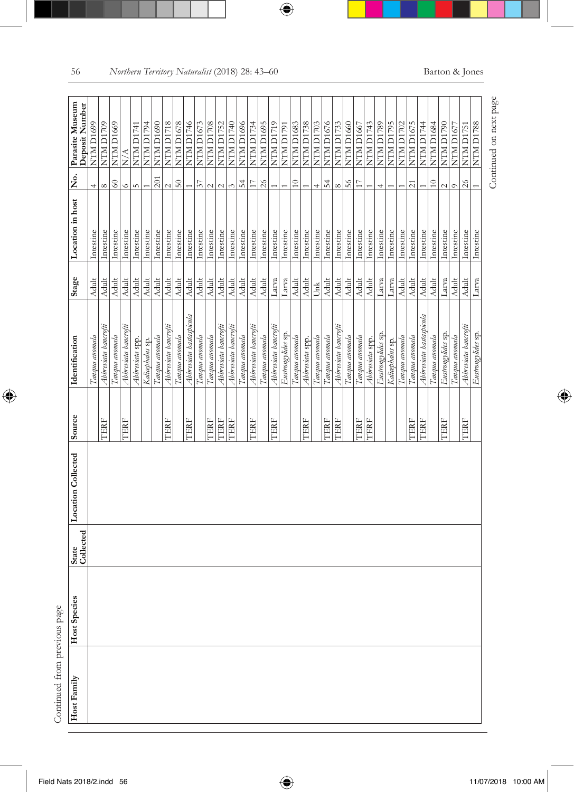| j<br>Ŝ |
|--------|
| h<br>i |
| ł      |
|        |
|        |

|  | State<br>Collected |             |                         | Stage         | Location in host | $\frac{6}{2}$                             | Parasite Museum<br>Deposit Number |  |
|--|--------------------|-------------|-------------------------|---------------|------------------|-------------------------------------------|-----------------------------------|--|
|  |                    |             | Tanqua anomala          | Adult         | Intestine        | 4                                         | NTM D1699                         |  |
|  |                    | <b>TERF</b> | Abbreviata bancrofti    | <b>Adul</b>   | Intestine        | $\infty$                                  | NTM D1709                         |  |
|  |                    |             | Tanqua anomala          | Adul          | Intestine        | $\ensuremath{\mathbb{S}}\xspace$          | NTM D <sub>1669</sub>             |  |
|  |                    | TERF        | Abbreviata bancrofti    | Adul          | Intestine        | $\circ$                                   | $\stackrel{\triangle}{\geq}$      |  |
|  |                    |             | Abbreviata spp.         | <b>Adul</b>   | Intestine        | $\overline{10}$                           | NTM D1741                         |  |
|  |                    |             | Kalicephalus sp.        | Adult         | Intestine        |                                           | NTM D1794                         |  |
|  |                    |             | Tanqua anomala          | Adult         | Intestine        | 201                                       | NTM D1690                         |  |
|  |                    | <b>TERF</b> | Abbreviata bancrofti    | Adult         | Intestine        | $\sim$                                    | <b>NTM D1718</b>                  |  |
|  |                    |             | Tanqua anomala          | Adult         | Intestine        | 50                                        | <b>NTM D1678</b>                  |  |
|  |                    | TERF        | Abbreviata hastaspicula | Adult         | Intestine        |                                           | NTM D1746                         |  |
|  |                    |             | Tanqua anomala          | Adult         | Intestine        | $\overline{\mathcal{E}}$                  | <b>NTM D1673</b>                  |  |
|  |                    | TERF        | Tanqua anomala          | <b>Adult</b>  | Intestine        | $\sim$                                    | <b>NTM D1708</b>                  |  |
|  |                    | TERF        | Abbreviata bancrofti    | <b>Adult</b>  | Intestine        | $\sim$                                    | <b>NTM D1752</b>                  |  |
|  |                    | TERF        | Abbreviata bancrofti    | Adult         | Intestine        | $\epsilon \gamma$                         | <b>OFTICI NLIN</b>                |  |
|  |                    |             | Tanqua anomala          | $\Delta$ dult | Intestine        | $\frac{1}{2}$                             | NTM D1696                         |  |
|  |                    | TERF        | Abbreviata bancrofti    | Adult         | Intestine        | $\Box$                                    | <b>NTM D1734</b>                  |  |
|  |                    |             | Tanqua anomala          | Adult         | Intestine        | $26\,$                                    | NTM D1695                         |  |
|  |                    | TERF        | Abbreviata bancrofti    | Larva         | Intestine        |                                           | NTM D1719                         |  |
|  |                    |             | Eustrongylides sp.      | Larva         | Intestine        |                                           | NTM D1791                         |  |
|  |                    |             | Tanqua anomala          | Adult         | Intestine        | $\overline{10}$                           | <b>NTM D1683</b>                  |  |
|  |                    | <b>TERF</b> | Abbreviata spp.         | Adult         | Intestine        |                                           | <b>NTM D1738</b>                  |  |
|  |                    |             | Tangua anomala          | Unk           | Intestine        | 4                                         | <b>NTM D1703</b>                  |  |
|  |                    | TERF        | Tanqua anomala          | <b>Adult</b>  | Intestine        | $\frac{1}{2}$                             | NTM D1676                         |  |
|  |                    | TERF        | Abbreviata bancrofti    | Adult         | Intestine        | $\infty$                                  | <b>NTM D1733</b>                  |  |
|  |                    |             | Tanqua anomala          | Adult         | Intestine        | 56                                        | NTM D1660                         |  |
|  |                    | TERF        | Tanqua anomala          | Adult         | Intestine        | $\overline{17}$                           | NTM D <sub>1667</sub>             |  |
|  |                    | TERF        | Abbreviata spp.         | Adult         | Intestine        |                                           | NTM D1743                         |  |
|  |                    |             | Eustrongylides sp.      | Larva         | Intestine        | 4                                         | NTM D1789                         |  |
|  |                    |             | Kalicephalus sp.        | Larva         | Intestine        |                                           | NTM D1795                         |  |
|  |                    |             | Tanqua anomala          | Adult         | Intestine        |                                           | NTM D1702                         |  |
|  |                    | <b>TERF</b> | Tanqua anomala          | Adult         | Intestine        | $\overline{z}$                            | <b>NTM D1675</b>                  |  |
|  |                    | TERF        | Abbreviata hastaspicula | Adult         | Intestine        |                                           | NTM D1744                         |  |
|  |                    |             | Гап <i>дна апота</i> ка | Adult         | Intestine        | $\ensuremath{\mathop{\mathbb{C}}}\xspace$ | <b>NTM D1684</b>                  |  |
|  |                    | TERF        | Eustrongylides sp.      | Larva         | Intestine        | $\sim$                                    | NTM D1790                         |  |
|  |                    |             | Tanqua anomala          | <b>Adult</b>  | Intestine        | $\circ$                                   | NTM D1677                         |  |
|  |                    | TERF        | Abbreviata bancrofti    | Adult         | Intestine        | $26$                                      | NTM D1751                         |  |
|  |                    |             | Eustrongylides sp.      | Larva         | Intestine        |                                           | <b>NTM D1788</b>                  |  |

Continued on next page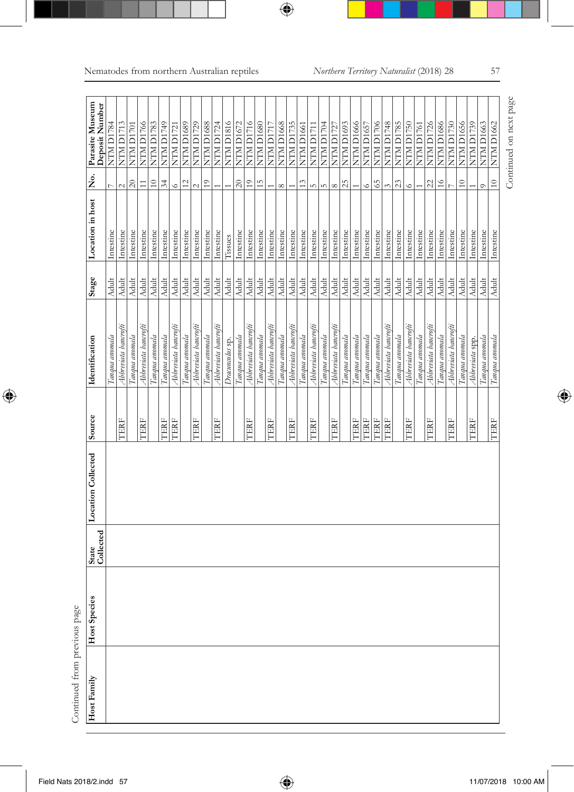| Continued from previous page<br>Host Family |              |                    |                           |        |                      |              |                  |                            |                                   |
|---------------------------------------------|--------------|--------------------|---------------------------|--------|----------------------|--------------|------------------|----------------------------|-----------------------------------|
|                                             | Host Species | State<br>Collected | <b>Location Collected</b> | Source | Identification       | Stage        | Location in host | $\dot{\tilde{\mathbf{z}}}$ | Parasite Museum<br>Deposit Number |
|                                             |              |                    |                           |        | Tanqua anomala       | <b>Adult</b> | Intestine        |                            | NTM D1784                         |
|                                             |              |                    |                           | TERF   | Abbreviata bancrofti | Adult        | Intestine        | $\overline{\mathcal{C}}$   | NTM D1713                         |
|                                             |              |                    |                           |        | Tanqua anomala       | Adult        | Intestine        | $\approx$                  | NTM D1701                         |
|                                             |              |                    |                           | TERF   | Abbreviata bancrofti | <b>Adult</b> | Intestine        | $\Xi$                      | NTM D1766                         |
|                                             |              |                    |                           |        | Tanqua anomala       | <b>Adult</b> | Intestine        | $\overline{10}$            | <b>NTM D1783</b>                  |
|                                             |              |                    |                           | TERF   | Tanqua anomala       | <b>Adult</b> | Intestine        | 34                         | NTM D1749                         |
|                                             |              |                    |                           | TERF   | Abbreviata bancrofti | Adult        | Intestine        | $\circ$                    | <b>NTM D1721</b>                  |
|                                             |              |                    |                           |        | Tanqua anomala       | Adult        | Intestine        | $\overline{12}$            | NTM D <sub>1689</sub>             |
|                                             |              |                    |                           | TERF   | Abbreviata bancrofti | <b>Adult</b> | Intestine        | $\overline{c}$             | NTM D1729                         |
|                                             |              |                    |                           |        | Tangua anomala       | <b>Adult</b> | Intestine        | $\overline{1}$             | <b>NTM D1688</b>                  |
|                                             |              |                    |                           | TERF   | Abbreviata bancrofti | <b>Adult</b> | Intestine        |                            | <b>NTM D1724</b>                  |
|                                             |              |                    |                           |        | Dracunculus sp.      | Adult        | Tissues          |                            | <b>NTM D1816</b>                  |
|                                             |              |                    |                           |        | Tanqua anomala       | <b>Adult</b> | Intestine        | $20\,$                     | <b>NTM D1672</b>                  |
|                                             |              |                    |                           | TERF   | Abbreviata bancrofti | <b>Adult</b> | Intestine        | $\overline{1}$             | NTM D1716                         |
|                                             |              |                    |                           |        | Tanqua anomala       | <b>Adult</b> | Intestine        | 15                         | <b>NTM D1680</b>                  |
|                                             |              |                    |                           | TERF   | Abbreviata bancrofti | <b>Adult</b> | Intestine        |                            | NTM D1717                         |
|                                             |              |                    |                           |        | Tanqua anomala       | Adult        | Intestine        | $\infty$                   | NTM D1668                         |
|                                             |              |                    |                           | TERF   | Abbreviata bancrofti | Adult        | Intestine        |                            | <b>NTM D1735</b>                  |
|                                             |              |                    |                           |        | Tanqua anomala       | <b>Adult</b> | Intestine        | 13                         | NTM D <sub>1661</sub>             |
|                                             |              |                    |                           | TERF   | Abbreviata bancrofti | Adult        | Intestine        | S                          | NTM D1711                         |
|                                             |              |                    |                           |        | Tanqua anomala       | Adult        | Intestine        | in,                        | NTM D1704                         |
|                                             |              |                    |                           | TERF   | Abbreviata bancrofti | <b>Adult</b> | Intestine        | ∞                          | NTM D1727                         |
|                                             |              |                    |                           |        | Гапана апотаю        | <b>Adult</b> | Intestine        | 25                         | NTM D1693                         |
|                                             |              |                    |                           | TERF   | Tanqua anomala       | Adult        | Intestine        |                            | <b>NTM D1666</b>                  |
|                                             |              |                    |                           | TERF   | Tanqua anomala       | <b>Adult</b> | Intestine        | $\circ$                    | <b>NTM D1657</b>                  |
|                                             |              |                    |                           | TERF   | Tanqua anomala       | Adult        | Intestine        | 65                         | NTM D1706                         |
|                                             |              |                    |                           | TERF   | Abbreviata bancrofti | Adult        | Intestine        | $\tilde{\epsilon}$         | <b>NTM D1748</b>                  |
|                                             |              |                    |                           |        | Tanqua anomala       | <b>Adult</b> | Intestine        | 23                         | <b>NTM D1785</b>                  |
|                                             |              |                    |                           | TERF   | Abbreviata bancrofti | <b>Adult</b> | Intestine        | $\circ$                    | <b>NTM D1750</b>                  |
|                                             |              |                    |                           |        | Tanqua anomala       | Adult        | Intestine        |                            | NTM D1761                         |
|                                             |              |                    |                           | TERF   | Abbreviata bancrofti | <b>Adult</b> | Intestine        | 22                         | <b>NTM D1726</b>                  |
|                                             |              |                    |                           |        | Tanqua anomala       | Adult        | Intestine        | $\frac{1}{6}$              | <b>NTM D1686</b>                  |
|                                             |              |                    |                           | TERF   | Abbreviata bancrofti | <b>Adult</b> | Intestine        |                            | <b>NTM D1730</b>                  |
|                                             |              |                    |                           |        | Tanqua anomala       | <b>Adult</b> | Intestine        | $\frac{1}{2}$              | <b>NTM D1656</b>                  |
|                                             |              |                    |                           | TERF   | Abbreviata spp.      | <b>Adult</b> | Intestine        |                            | <b>NTM D1739</b>                  |
|                                             |              |                    |                           |        | Tanqua anomala       | <b>Adult</b> | Intestine        | $\circ$                    | <b>NTM D1663</b>                  |
|                                             |              |                    |                           | TERF   | Tanqua anomala       | Adult        | Intestine        | $\approx$                  | <b>NTM D1662</b>                  |
|                                             |              |                    |                           |        |                      |              |                  |                            |                                   |

Continued on next page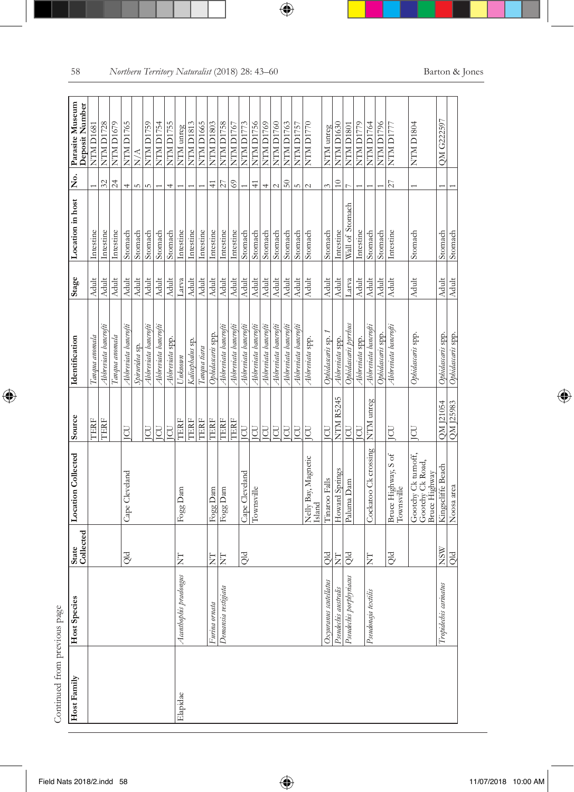| j<br>Ŝ |
|--------|
| h<br>i |
| ł      |
|        |
|        |

| Host Family | Host Species            | State<br>Collected | <b>Location Collected</b>                                | Source           | Identification       | Stage        | Location in host | ş.                | Parasite Museum<br>Deposit Number |
|-------------|-------------------------|--------------------|----------------------------------------------------------|------------------|----------------------|--------------|------------------|-------------------|-----------------------------------|
|             |                         |                    |                                                          | TERF             | Тапана апотаю        | <b>Adult</b> | Intestine        |                   | <b>NTM D1681</b>                  |
|             |                         |                    |                                                          | <b>CERF</b>      | Abbreviata bancrofti | <b>Adult</b> | Intestine        | 32                | <b>NTM D1728</b>                  |
|             |                         |                    |                                                          |                  | Tanqua anomala       | Adult        | Intestine        | 24                | NTM D <sub>1679</sub>             |
|             |                         | <b>Qld</b>         | Cape Cleveland                                           | E                | Abbreviata bancrofti | <b>Adult</b> | Stomach          | 4                 | NTM D1765                         |
|             |                         |                    |                                                          |                  | Spiruridea sp.       | Adult        | Stomach          | LO.               | $\frac{\triangle}{N}$             |
|             |                         |                    |                                                          | E                | Abbreviata bancrofti | <b>Adult</b> | Stomach          | $\sim$            | NTM D1759                         |
|             |                         |                    |                                                          | E                | Abbreviata bancrofti | Adult        | Stomach          |                   | <b>NTM D1754</b>                  |
|             |                         |                    |                                                          | <b>CU</b>        | Abbreviata spp.      | <b>Adult</b> | Stomach          | 4                 | NTM D1755                         |
| Elapidae    | Acanthophis praelongus  | Ę                  | Fogg Dam                                                 | TERF             | Unknown              | Larva        | Intestine        |                   | NTM unreg                         |
|             |                         |                    |                                                          | TERF             | Kalicephalus sp.     | Adult        | Intestine        |                   | NTM D1813                         |
|             |                         |                    |                                                          | TERF             | Tanqua tiara         | Adult        | Intestine        |                   | NTM D1665                         |
|             | Furina ornata           | E                  | Fogg Dam                                                 | TERF             | Ophidascaris spp.    | <b>Adult</b> | Intestine        | $\frac{41}{5}$    | NTM D1803                         |
|             | Demansia vestigiata     | E                  | Fogg Dam                                                 | TERF             | Abbreviata bancrofti | <b>Adult</b> | Intestine        | 27                | NTM D1758                         |
|             |                         |                    |                                                          | TERF             | Abbreviata bancrofti | <b>Adult</b> | Intestine        | 69                | NTM D1767                         |
|             |                         | Qld                | Cape Cleveland                                           | $\overline{\Xi}$ | Abbreviata bancrofti | <b>Adult</b> | Stomach          |                   | <b>NTM D1773</b>                  |
|             |                         |                    | Townsville                                               | <b>CO</b>        | Abbreviata bancrofti | <b>Adult</b> | Stomach          | $\frac{4}{4}$     | NTM D1756                         |
|             |                         |                    |                                                          | <b>CU</b>        | Abbreviata bancrofti | <b>Adult</b> | Stomach          | $\overline{+}$    | NTM D1769                         |
|             |                         |                    |                                                          | JCU              | Abbreviata bancrofti | <b>Adult</b> | Stomach          | $\mathbf{\Omega}$ | NTM D1760                         |
|             |                         |                    |                                                          | <b>CD</b>        | Abbreviata bancrofti | <b>Adult</b> | Stomach          | $50\,$            | NTM D1763                         |
|             |                         |                    |                                                          | E                | Abbreviata bancrofti | <b>Adult</b> | Stomach          | ıΩ                | NTM D1757                         |
|             |                         |                    | Velly Bay, Magnetic<br>Island                            | E                | Abbreviata spp.      | <b>Adult</b> | Stomach          | $\sim$            | NTM D1770                         |
|             | Oxyuranus scutellatus   | <b>Qld</b>         | Tinaroo Falls                                            | E                | Ophidascaris sp.     | Adult        | Stomach          | $\epsilon$        | NTM unreg                         |
|             | Pseudechis australis    | Ë                  | Howard Springs                                           | <b>NTM R5245</b> | Abbreviata spp.      | Adult        | Intestine        | $\approx$         | NTM D1630                         |
|             | Pseudechis porphyriacus | <b>PIO</b>         | Paluma Dam                                               | <b>CU</b>        | Ophidascaris pyrrhus | Larva        | Wall of Stomach  |                   | NTM D1801                         |
|             |                         |                    |                                                          | ICU              | Abbreviata spp.      | Adult        | Intestine        |                   | NTM D1779                         |
|             | Pseudonaja textilis     | Ë                  | Cockatoo Ck crossing                                     | NTM unreg        | Abbreviata bancrofti | Adult        | Stomach          |                   | NTM D1764                         |
|             |                         |                    |                                                          |                  | Ophidascaris spp.    | Adult        | Stomach          |                   | NTM D1796                         |
|             |                         | Qld                | Bruce Highway, S of<br>Townsville                        | <b>CU</b>        | Abbreviata bancrofti | <b>Adult</b> | Intestine        | 27                | NTM D1777                         |
|             |                         |                    | Gootchy Ck turnoff,<br>Gootchy Ck Road,<br>Bruce Highway | E                | Ophidascaris spp.    | <b>Adult</b> | Stomach          |                   | NTM D1804                         |
|             | Tropidechis carinatus   | <b>NSW</b>         | Kingscliffe Beach                                        | QM J21054        | Ophidascaris spp.    | <b>Adult</b> | Stomach          |                   | QM G222597                        |
|             |                         | <br>Əld            | Noosa area                                               | <b>QM125983</b>  | Ophidascaris spp.    | <b>Adult</b> | Stomach          |                   |                                   |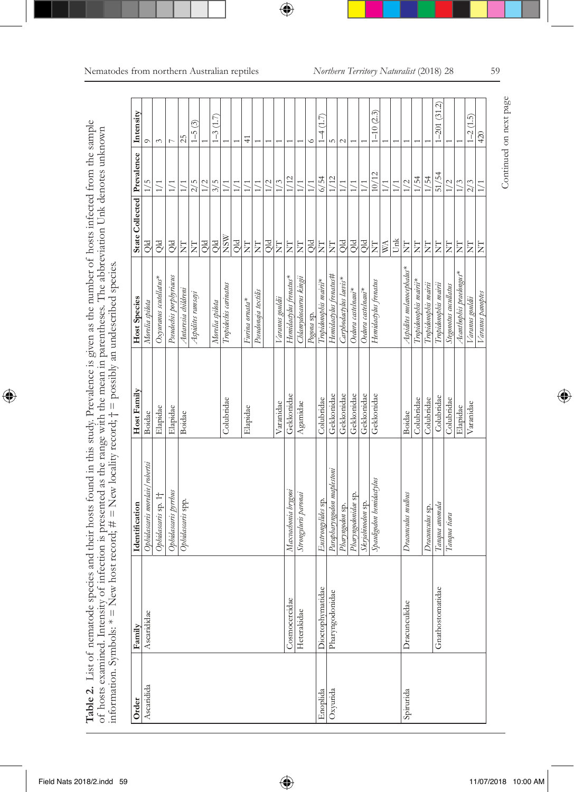| י<br>ב<br>Í<br>d<br>・ミミュ<br>ļ<br>i<br>į<br>$\tilde{\zeta}$                     | ŗ<br>i<br>j<br>j<br>Ï<br>1<br>d<br>ł                                                       | i<br>i<br>ł<br>j<br>ļ                                                                                     |
|--------------------------------------------------------------------------------|--------------------------------------------------------------------------------------------|-----------------------------------------------------------------------------------------------------------|
| Í<br>i<br>j<br><b>CARD #</b><br>I<br>į<br>i<br>i<br>j<br>ł<br>ì<br>j<br>j<br>i | i<br>í<br>į<br>ł<br><b>Secar</b><br>Ì<br>Ĵ<br>ce of the<br>j<br>j<br>ï<br>٢<br>ł<br>١<br>Ó | j<br>i<br>l<br>$\overline{1}$<br>į<br>ţ<br>$\overline{a}$<br>$\mathsf{I}$<br>$\sharp$<br>i<br>ï<br>ł<br>ţ |
| į<br>İ<br>Ó<br>ì<br>į<br>Í<br>ı                                                | ļ<br>j<br>j<br>i<br>5<br>j<br>í<br>Č<br>ℷ                                                  | <br>*<br>$\ddot{\phantom{a}}$<br>١<br>Į<br>ļ<br>¢                                                         |

| Ascaridida | Family           | Identification                 | Host Family | Host Species              | State Collected   Prevalence   Intensity |                  |                    |
|------------|------------------|--------------------------------|-------------|---------------------------|------------------------------------------|------------------|--------------------|
|            | Ascarididae      | Ophidascaris morelaie/robertsi | Boidae      | Morelia spilota           | DIO                                      |                  |                    |
|            |                  | Ophidascaris sp. 1†            | Elapidae    | Oxyuranus scutellatus*    | Qld                                      | $1/1$            | $\tilde{\epsilon}$ |
|            |                  | Ophidascaris pyrrhus           | Elapidae    | Pseudechis porphyriacus   | <b>PIO</b>                               | 1/1              | b                  |
|            |                  | Ophidascaris spp.              | Boidae      | Antaresia childreni       | Ę                                        | $\frac{1}{1}$    | 25                 |
|            |                  |                                |             | Aspidites ramsayi         | Ż                                        | 2/5              | $1 - 5(3)$         |
|            |                  |                                |             |                           | Qld                                      | 1/2              |                    |
|            |                  |                                |             | Morelia spilota           | Qld                                      | 3/5              | $-3(1.7)$          |
|            |                  |                                | Colubridae  | Tropidechis carinatus     | <b>NSW</b>                               | 1/1              |                    |
|            |                  |                                |             |                           | <b>Qid</b>                               | $\geq$           |                    |
|            |                  |                                | Elapidae    | Furina ornata*            | E                                        | $\frac{1}{1}$    | 4                  |
|            |                  |                                |             | Pseudonaja textilis       | $\overleftarrow{\mathbf{z}}$             | 1/1              |                    |
|            |                  |                                |             |                           | Qld                                      | 1/2              |                    |
|            |                  |                                | Varanidae   | Varanus gouldii           | $\overline{z}$                           | 1/3              |                    |
|            | Cosmocercidae    | Maxvachonia brygooi            | Gekkonidae  | Hemidactylus frenatus*    | $\overleftarrow{\mathbf{z}}$             | 1/12             |                    |
|            | Heterakidae      | Strongyluris paronai           | $A$ gamidae | Chlamydosaurus kingii     | E                                        | $\overline{1}$   |                    |
|            |                  |                                |             | Pogona sp.                | <b>Qld</b>                               | $\sum_{i=1}^{n}$ |                    |
| Enoplida   | Dioctophymatidae | Eustrongylides sp.             | Colubridae  | Tropidonophis mairii*     | E                                        | 6/54             | (1.7)              |
| Oxyurida   | Pharyngodonidae  | Parapharyngodon maplestoni     | Gekkonidae  | Hemidacylus frenatus#     | E                                        | 1/12             |                    |
|            |                  | Pharyngodon sp.                | Gekkonidae  | Carphodactylus laevis*    | <b>Qld</b>                               | $\geq$           | $\mathcal{C}$      |
|            |                  | Pharyngodonidae sp.            | Gekkonidae  | Oedura castelnaui*        | $\overline{Q}$                           | $\geq$           |                    |
|            |                  | Skrjabinodon sp.               | Gekkonidae  | Oedura castelnaui*        | Qid                                      | $\sum_{i=1}^{n}$ |                    |
|            |                  | Spanligodon hemidactylus       | Gekkonidae  | Hemidactylus frenatus     | Ż                                        | 10/12            | $1 - 10(2.3)$      |
|            |                  |                                |             |                           | $\mathbb{M}$                             |                  |                    |
|            |                  |                                |             |                           | <b>Unk</b>                               | $\geq$           |                    |
| Spirurida  | Dracunculidae    | Dracunculus mulbus             | Boidae      | Aspidites melanocephalus* | E                                        | 1/2              |                    |
|            |                  |                                | Colubridae  | Tropidonophis mairii*     | E                                        | 1/54             |                    |
|            |                  | Dracunculus sp.                | Colubridae  | Tropidonophis mairii      | $\overleftarrow{\mathrm{Z}}$             | 1/54             |                    |
|            | Gnathostomatidae | Tanqua anomala                 | Colubridae  | Tropidonophis mairii      | E                                        | 51/54            | $(-201(31.2)$      |
|            |                  | Tanqua tiara                   | Colubridae  | Stegonotus cucullatus     | $\overline{z}$                           | 1/2              |                    |
|            |                  |                                | Elapidae    | Acanthophis praelongus*   | $\overline{z}$                           | 1/3              |                    |
|            |                  |                                | Varanidae   | Varanus gouldii           | E                                        | 2/3              | $1 - 2(1.5)$       |
|            |                  |                                |             | Varanus panaptes          | E                                        | $\frac{1}{1}$    | 420                |

Continued on next page